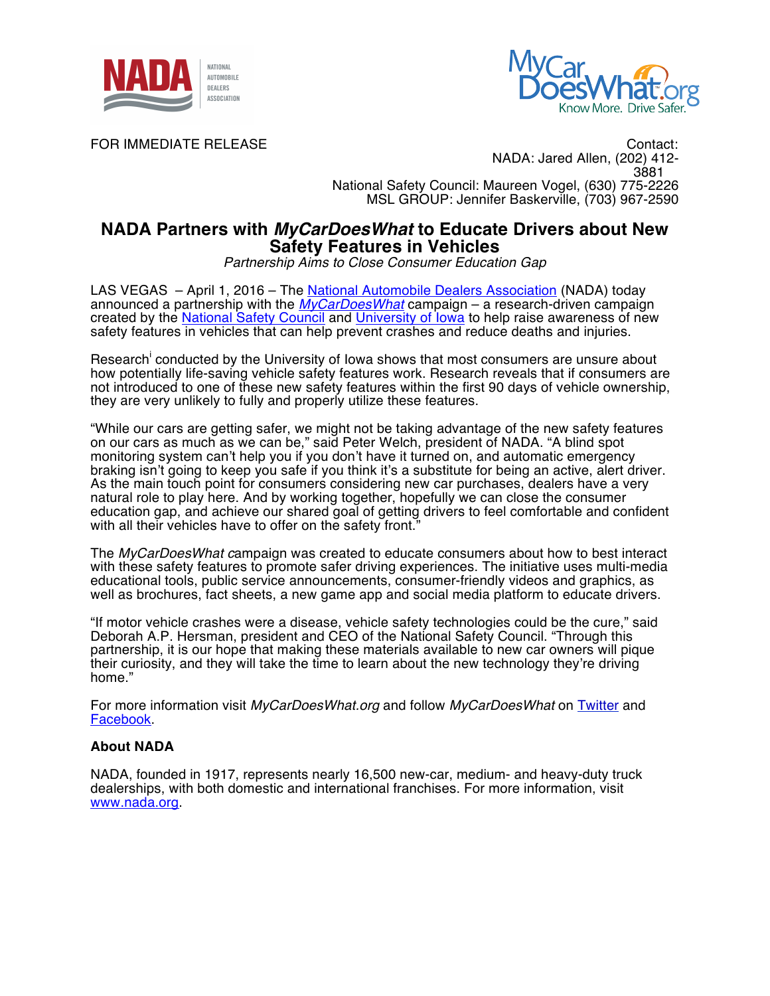



FOR IMMEDIATE RELEASE CONTACTE AND THE CONTACTE CONTACTE CONTACTE CONTACTE CONTACTE CONTACTE CONTACTE CONTACTE NADA: Jared Allen, (202) 412- 3881 National Safety Council: Maureen Vogel, (630) 775-2226 MSL GROUP: Jennifer Baskerville, (703) 967-2590

## **NADA Partners with** *MyCarDoesWhat* **to Educate Drivers about New Safety Features in Vehicles**

*Partnership Aims to Close Consumer Education Gap*

LAS VEGAS – April 1, 2016 – The National Automobile Dealers Association (NADA) today announced a partnership with the *MyCarDoesWhat* campaign – a research-driven campaign created by the National Safety Council and University of Iowa to help raise awareness of new safety features in vehicles that can help prevent crashes and reduce deaths and injuries.

Research<sup>i</sup> conducted by the University of Iowa shows that most consumers are unsure about how potentially life-saving vehicle safety features work. Research reveals that if consumers are not introduced to one of these new safety features within the first 90 days of vehicle ownership, they are very unlikely to fully and properly utilize these features.

"While our cars are getting safer, we might not be taking advantage of the new safety features on our cars as much as we can be," said Peter Welch, president of NADA. "A blind spot monitoring system can't help you if you don't have it turned on, and automatic emergency braking isn't going to keep you safe if you think it's a substitute for being an active, alert driver. As the main touch point for consumers considering new car purchases, dealers have a very natural role to play here. And by working together, hopefully we can close the consumer education gap, and achieve our shared goal of getting drivers to feel comfortable and confident with all their vehicles have to offer on the safety front.

The *MyCarDoesWhat c*ampaign was created to educate consumers about how to best interact with these safety features to promote safer driving experiences. The initiative uses multi-media educational tools, public service announcements, consumer-friendly videos and graphics, as well as brochures, fact sheets, a new game app and social media platform to educate drivers.

"If motor vehicle crashes were a disease, vehicle safety technologies could be the cure," said Deborah A.P. Hersman, president and CEO of the National Safety Council. "Through this partnership, it is our hope that making these materials available to new car owners will pique their curiosity, and they will take the time to learn about the new technology they're driving home."

For more information visit *MyCarDoesWhat.org* and follow *MyCarDoesWhat* on Twitter and Facebook.

## **About NADA**

NADA, founded in 1917, represents nearly 16,500 new-car, medium- and heavy-duty truck dealerships, with both domestic and international franchises. For more information, visit www.nada.org.